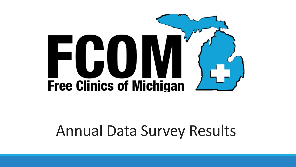

### Annual Data Survey Results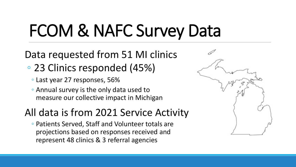# FCOM & NAFC Survey Data

#### Data requested from 51 MI clinics

- 23 Clinics responded (45%)
	- Last year 27 responses, 56%
	- Annual survey is the only data used to measure our collective impact in Michigan

#### All data is from 2021 Service Activity

◦ Patients Served, Staff and Volunteer totals are projections based on responses received and represent 48 clinics & 3 referral agencies

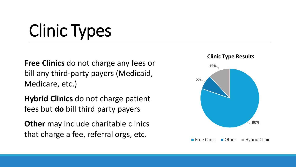# Clinic Types

**Free Clinics** do not charge any fees or bill any third-party payers (Medicaid, Medicare, etc.)

**Hybrid Clinics** do not charge patient fees but **do** bill third party payers

**Other** may include charitable clinics that charge a fee, referral orgs, etc.

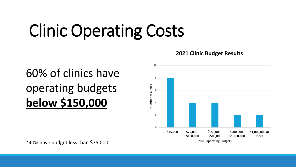# Clinic Operating Costs

#### 60% of clinics have operating budgets **below \$150,000**



**2021 Clinic Budget Results**

\*40% have budget less than \$75,000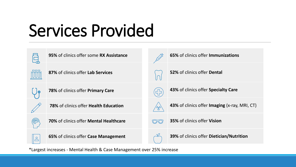# Services Provided























**65%** of clinics offer **Case Management**



**65%** of clinics offer **Immunizations** 



**52%** of clinics offer **Dental**



**43%** of clinics offer **Specialty Care** 



- **43%** of clinics offer **Imaging** (x-ray, MRI, CT)
- **35%** of clinics offer **Vision**



\*Largest increases - Mental Health & Case Management over 25% increase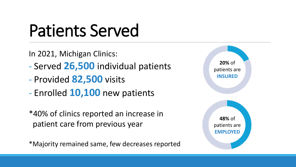## Patients Served

In 2021, Michigan Clinics:

- Served **26,500** individual patients
- Provided **82,500** visits
- Enrolled **10,100** new patients

\*40% of clinics reported an increase in patient care from previous year

\*Majority remained same, few decreases reported

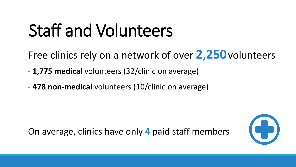# Staff and Volunteers

Free clinics rely on a network of over **2,250**volunteers

- **1,775 medical** volunteers (32/clinic on average)
- **478 non-medical** volunteers (10/clinic on average)

On average, clinics have only **4** paid staff members

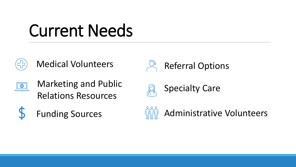### Current Needs



Medical Volunteers



Marketing and Public Relations Resources









Administrative Volunteers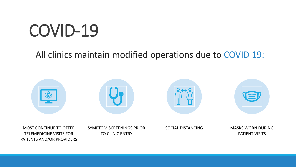### COVID-19

#### All clinics maintain modified operations due to COVID 19:

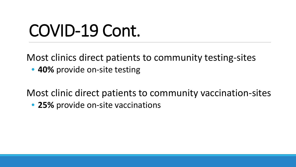## COVID-19 Cont.

Most clinics direct patients to community testing-sites

• **40%** provide on-site testing

Most clinic direct patients to community vaccination-sites

• **25%** provide on-site vaccinations